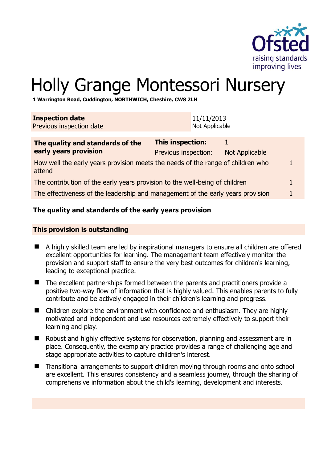

# Holly Grange Montessori Nursery

**1 Warrington Road, Cuddington, NORTHWICH, Cheshire, CW8 2LH** 

| <b>Inspection date</b><br>Previous inspection date                                        | 11/11/2013<br>Not Applicable                    |                       |  |
|-------------------------------------------------------------------------------------------|-------------------------------------------------|-----------------------|--|
| The quality and standards of the<br>early years provision                                 | <b>This inspection:</b><br>Previous inspection: | <b>Not Applicable</b> |  |
| How well the early years provision meets the needs of the range of children who<br>attend |                                                 |                       |  |
| The contribution of the early years provision to the well-being of children               |                                                 |                       |  |

The effectiveness of the leadership and management of the early years provision 1

#### **The quality and standards of the early years provision**

#### **This provision is outstanding**

- A highly skilled team are led by inspirational managers to ensure all children are offered excellent opportunities for learning. The management team effectively monitor the provision and support staff to ensure the very best outcomes for children's learning, leading to exceptional practice.
- The excellent partnerships formed between the parents and practitioners provide a positive two-way flow of information that is highly valued. This enables parents to fully contribute and be actively engaged in their children's learning and progress.
- Children explore the environment with confidence and enthusiasm. They are highly motivated and independent and use resources extremely effectively to support their learning and play.
- Robust and highly effective systems for observation, planning and assessment are in place. Consequently, the exemplary practice provides a range of challenging age and stage appropriate activities to capture children's interest.
- Transitional arrangements to support children moving through rooms and onto school are excellent. This ensures consistency and a seamless journey, through the sharing of comprehensive information about the child's learning, development and interests.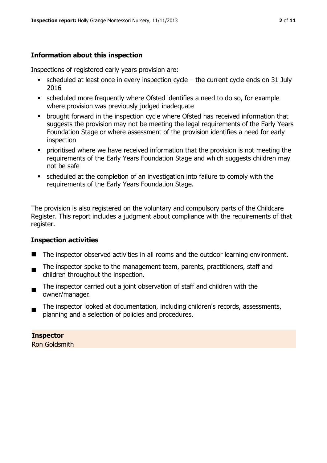# **Information about this inspection**

Inspections of registered early years provision are:

- $\bullet$  scheduled at least once in every inspection cycle the current cycle ends on 31 July 2016
- scheduled more frequently where Ofsted identifies a need to do so, for example where provision was previously judged inadequate
- **•** brought forward in the inspection cycle where Ofsted has received information that suggests the provision may not be meeting the legal requirements of the Early Years Foundation Stage or where assessment of the provision identifies a need for early inspection
- **•** prioritised where we have received information that the provision is not meeting the requirements of the Early Years Foundation Stage and which suggests children may not be safe
- scheduled at the completion of an investigation into failure to comply with the requirements of the Early Years Foundation Stage.

The provision is also registered on the voluntary and compulsory parts of the Childcare Register. This report includes a judgment about compliance with the requirements of that register.

# **Inspection activities**

- The inspector observed activities in all rooms and the outdoor learning environment.
- . The inspector spoke to the management team, parents, practitioners, staff and children throughout the inspection.
- The inspector carried out a joint observation of staff and children with the owner/manager.
- The inspector looked at documentation, including children's records, assessments, planning and a selection of policies and procedures.

#### **Inspector**

Ron Goldsmith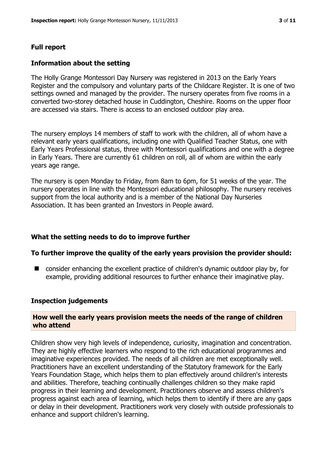# **Full report**

#### **Information about the setting**

The Holly Grange Montessori Day Nursery was registered in 2013 on the Early Years Register and the compulsory and voluntary parts of the Childcare Register. It is one of two settings owned and managed by the provider. The nursery operates from five rooms in a converted two-storey detached house in Cuddington, Cheshire. Rooms on the upper floor are accessed via stairs. There is access to an enclosed outdoor play area.

The nursery employs 14 members of staff to work with the children, all of whom have a relevant early years qualifications, including one with Qualified Teacher Status, one with Early Years Professional status, three with Montessori qualifications and one with a degree in Early Years. There are currently 61 children on roll, all of whom are within the early years age range.

The nursery is open Monday to Friday, from 8am to 6pm, for 51 weeks of the year. The nursery operates in line with the Montessori educational philosophy. The nursery receives support from the local authority and is a member of the National Day Nurseries Association. It has been granted an Investors in People award.

#### **What the setting needs to do to improve further**

#### **To further improve the quality of the early years provision the provider should:**

■ consider enhancing the excellent practice of children's dynamic outdoor play by, for example, providing additional resources to further enhance their imaginative play.

#### **Inspection judgements**

#### **How well the early years provision meets the needs of the range of children who attend**

Children show very high levels of independence, curiosity, imagination and concentration. They are highly effective learners who respond to the rich educational programmes and imaginative experiences provided. The needs of all children are met exceptionally well. Practitioners have an excellent understanding of the Statutory framework for the Early Years Foundation Stage, which helps them to plan effectively around children's interests and abilities. Therefore, teaching continually challenges children so they make rapid progress in their learning and development. Practitioners observe and assess children's progress against each area of learning, which helps them to identify if there are any gaps or delay in their development. Practitioners work very closely with outside professionals to enhance and support children's learning.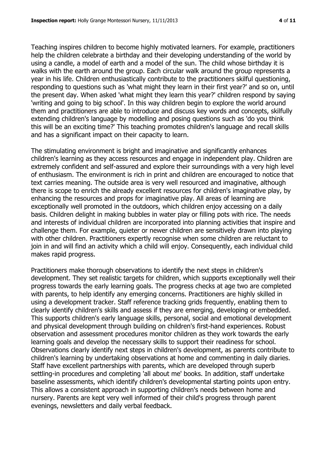Teaching inspires children to become highly motivated learners. For example, practitioners help the children celebrate a birthday and their developing understanding of the world by using a candle, a model of earth and a model of the sun. The child whose birthday it is walks with the earth around the group. Each circular walk around the group represents a year in his life. Children enthusiastically contribute to the practitioners skilful questioning, responding to questions such as 'what might they learn in their first year?' and so on, until the present day. When asked 'what might they learn this year?' children respond by saying 'writing and going to big school'. In this way children begin to explore the world around them and practitioners are able to introduce and discuss key words and concepts, skilfully extending children's language by modelling and posing questions such as 'do you think this will be an exciting time?' This teaching promotes children's language and recall skills and has a significant impact on their capacity to learn.

The stimulating environment is bright and imaginative and significantly enhances children's learning as they access resources and engage in independent play. Children are extremely confident and self-assured and explore their surroundings with a very high level of enthusiasm. The environment is rich in print and children are encouraged to notice that text carries meaning. The outside area is very well resourced and imaginative, although there is scope to enrich the already excellent resources for children's imaginative play, by enhancing the resources and props for imaginative play. All areas of learning are exceptionally well promoted in the outdoors, which children enjoy accessing on a daily basis. Children delight in making bubbles in water play or filling pots with rice. The needs and interests of individual children are incorporated into planning activities that inspire and challenge them. For example, quieter or newer children are sensitively drawn into playing with other children. Practitioners expertly recognise when some children are reluctant to join in and will find an activity which a child will enjoy. Consequently, each individual child makes rapid progress.

Practitioners make thorough observations to identify the next steps in children's development. They set realistic targets for children, which supports exceptionally well their progress towards the early learning goals. The progress checks at age two are completed with parents, to help identify any emerging concerns. Practitioners are highly skilled in using a development tracker. Staff reference tracking grids frequently, enabling them to clearly identify children's skills and assess if they are emerging, developing or embedded. This supports children's early language skills, personal, social and emotional development and physical development through building on children's first-hand experiences. Robust observation and assessment procedures monitor children as they work towards the early learning goals and develop the necessary skills to support their readiness for school. Observations clearly identify next steps in children's development, as parents contribute to children's learning by undertaking observations at home and commenting in daily diaries. Staff have excellent partnerships with parents, which are developed through superb settling-in procedures and completing 'all about me' books. In addition, staff undertake baseline assessments, which identify children's developmental starting points upon entry. This allows a consistent approach in supporting children's needs between home and nursery. Parents are kept very well informed of their child's progress through parent evenings, newsletters and daily verbal feedback.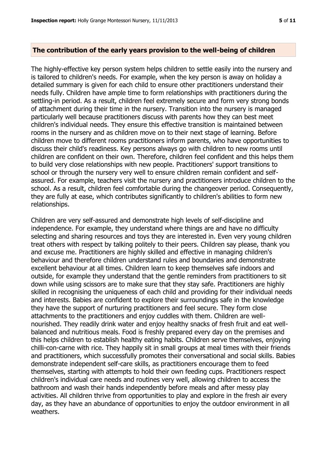#### **The contribution of the early years provision to the well-being of children**

The highly-effective key person system helps children to settle easily into the nursery and is tailored to children's needs. For example, when the key person is away on holiday a detailed summary is given for each child to ensure other practitioners understand their needs fully. Children have ample time to form relationships with practitioners during the settling-in period. As a result, children feel extremely secure and form very strong bonds of attachment during their time in the nursery. Transition into the nursery is managed particularly well because practitioners discuss with parents how they can best meet children's individual needs. They ensure this effective transition is maintained between rooms in the nursery and as children move on to their next stage of learning. Before children move to different rooms practitioners inform parents, who have opportunities to discuss their child's readiness. Key persons always go with children to new rooms until children are confident on their own. Therefore, children feel confident and this helps them to build very close relationships with new people. Practitioners' support transitions to school or through the nursery very well to ensure children remain confident and selfassured. For example, teachers visit the nursery and practitioners introduce children to the school. As a result, children feel comfortable during the changeover period. Consequently, they are fully at ease, which contributes significantly to children's abilities to form new relationships.

Children are very self-assured and demonstrate high levels of self-discipline and independence. For example, they understand where things are and have no difficulty selecting and sharing resources and toys they are interested in. Even very young children treat others with respect by talking politely to their peers. Children say please, thank you and excuse me. Practitioners are highly skilled and effective in managing children's behaviour and therefore children understand rules and boundaries and demonstrate excellent behaviour at all times. Children learn to keep themselves safe indoors and outside, for example they understand that the gentle reminders from practitioners to sit down while using scissors are to make sure that they stay safe. Practitioners are highly skilled in recognising the uniqueness of each child and providing for their individual needs and interests. Babies are confident to explore their surroundings safe in the knowledge they have the support of nurturing practitioners and feel secure. They form close attachments to the practitioners and enjoy cuddles with them. Children are wellnourished. They readily drink water and enjoy healthy snacks of fresh fruit and eat wellbalanced and nutritious meals. Food is freshly prepared every day on the premises and this helps children to establish healthy eating habits. Children serve themselves, enjoying chilli-con-carne with rice. They happily sit in small groups at meal times with their friends and practitioners, which successfully promotes their conversational and social skills. Babies demonstrate independent self-care skills, as practitioners encourage them to feed themselves, starting with attempts to hold their own feeding cups. Practitioners respect children's individual care needs and routines very well, allowing children to access the bathroom and wash their hands independently before meals and after messy play activities. All children thrive from opportunities to play and explore in the fresh air every day, as they have an abundance of opportunities to enjoy the outdoor environment in all weathers.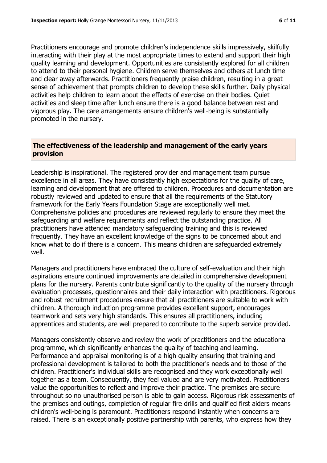Practitioners encourage and promote children's independence skills impressively, skilfully interacting with their play at the most appropriate times to extend and support their high quality learning and development. Opportunities are consistently explored for all children to attend to their personal hygiene. Children serve themselves and others at lunch time and clear away afterwards. Practitioners frequently praise children, resulting in a great sense of achievement that prompts children to develop these skills further. Daily physical activities help children to learn about the effects of exercise on their bodies. Quiet activities and sleep time after lunch ensure there is a good balance between rest and vigorous play. The care arrangements ensure children's well-being is substantially promoted in the nursery.

# **The effectiveness of the leadership and management of the early years provision**

Leadership is inspirational. The registered provider and management team pursue excellence in all areas. They have consistently high expectations for the quality of care, learning and development that are offered to children. Procedures and documentation are robustly reviewed and updated to ensure that all the requirements of the Statutory framework for the Early Years Foundation Stage are exceptionally well met. Comprehensive policies and procedures are reviewed regularly to ensure they meet the safeguarding and welfare requirements and reflect the outstanding practice. All practitioners have attended mandatory safeguarding training and this is reviewed frequently. They have an excellent knowledge of the signs to be concerned about and know what to do if there is a concern. This means children are safeguarded extremely well.

Managers and practitioners have embraced the culture of self-evaluation and their high aspirations ensure continued improvements are detailed in comprehensive development plans for the nursery. Parents contribute significantly to the quality of the nursery through evaluation processes, questionnaires and their daily interaction with practitioners. Rigorous and robust recruitment procedures ensure that all practitioners are suitable to work with children. A thorough induction programme provides excellent support, encourages teamwork and sets very high standards. This ensures all practitioners, including apprentices and students, are well prepared to contribute to the superb service provided.

Managers consistently observe and review the work of practitioners and the educational programme, which significantly enhances the quality of teaching and learning. Performance and appraisal monitoring is of a high quality ensuring that training and professional development is tailored to both the practitioner's needs and to those of the children. Practitioner's individual skills are recognised and they work exceptionally well together as a team. Consequently, they feel valued and are very motivated. Practitioners value the opportunities to reflect and improve their practice. The premises are secure throughout so no unauthorised person is able to gain access. Rigorous risk assessments of the premises and outings, completion of regular fire drills and qualified first aiders means children's well-being is paramount. Practitioners respond instantly when concerns are raised. There is an exceptionally positive partnership with parents, who express how they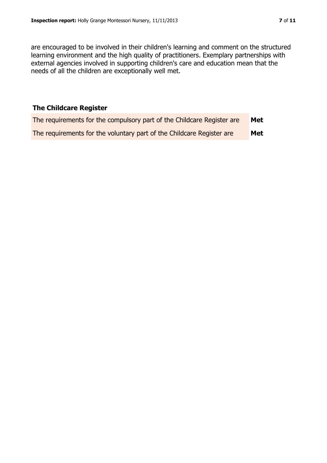are encouraged to be involved in their children's learning and comment on the structured learning environment and the high quality of practitioners. Exemplary partnerships with external agencies involved in supporting children's care and education mean that the needs of all the children are exceptionally well met.

# **The Childcare Register**

| The requirements for the compulsory part of the Childcare Register are | Met |
|------------------------------------------------------------------------|-----|
| The requirements for the voluntary part of the Childcare Register are  | Met |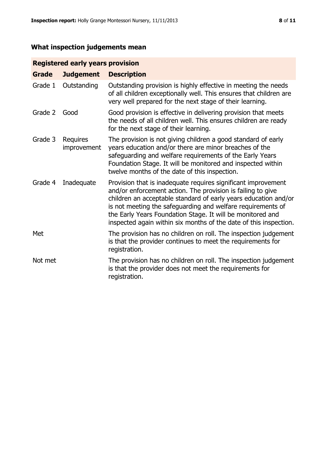# **What inspection judgements mean**

# **Registered early years provision**

| <b>Grade</b> | <b>Judgement</b>        | <b>Description</b>                                                                                                                                                                                                                                                                                                                                                                                |
|--------------|-------------------------|---------------------------------------------------------------------------------------------------------------------------------------------------------------------------------------------------------------------------------------------------------------------------------------------------------------------------------------------------------------------------------------------------|
| Grade 1      | Outstanding             | Outstanding provision is highly effective in meeting the needs<br>of all children exceptionally well. This ensures that children are<br>very well prepared for the next stage of their learning.                                                                                                                                                                                                  |
| Grade 2      | Good                    | Good provision is effective in delivering provision that meets<br>the needs of all children well. This ensures children are ready<br>for the next stage of their learning.                                                                                                                                                                                                                        |
| Grade 3      | Requires<br>improvement | The provision is not giving children a good standard of early<br>years education and/or there are minor breaches of the<br>safeguarding and welfare requirements of the Early Years<br>Foundation Stage. It will be monitored and inspected within<br>twelve months of the date of this inspection.                                                                                               |
| Grade 4      | Inadequate              | Provision that is inadequate requires significant improvement<br>and/or enforcement action. The provision is failing to give<br>children an acceptable standard of early years education and/or<br>is not meeting the safeguarding and welfare requirements of<br>the Early Years Foundation Stage. It will be monitored and<br>inspected again within six months of the date of this inspection. |
| Met          |                         | The provision has no children on roll. The inspection judgement<br>is that the provider continues to meet the requirements for<br>registration.                                                                                                                                                                                                                                                   |
| Not met      |                         | The provision has no children on roll. The inspection judgement<br>is that the provider does not meet the requirements for<br>registration.                                                                                                                                                                                                                                                       |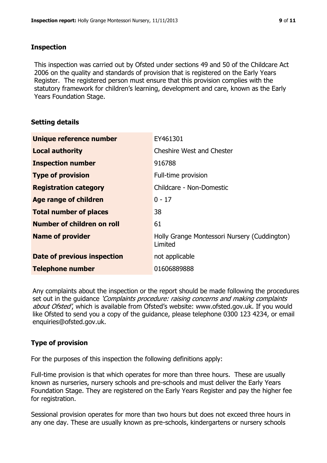#### **Inspection**

This inspection was carried out by Ofsted under sections 49 and 50 of the Childcare Act 2006 on the quality and standards of provision that is registered on the Early Years Register. The registered person must ensure that this provision complies with the statutory framework for children's learning, development and care, known as the Early Years Foundation Stage.

#### **Setting details**

| Unique reference number       | EY461301                                                |
|-------------------------------|---------------------------------------------------------|
| <b>Local authority</b>        | <b>Cheshire West and Chester</b>                        |
| <b>Inspection number</b>      | 916788                                                  |
| <b>Type of provision</b>      | Full-time provision                                     |
| <b>Registration category</b>  | Childcare - Non-Domestic                                |
| Age range of children         | $0 - 17$                                                |
| <b>Total number of places</b> | 38                                                      |
| Number of children on roll    | 61                                                      |
| <b>Name of provider</b>       | Holly Grange Montessori Nursery (Cuddington)<br>Limited |
| Date of previous inspection   | not applicable                                          |
| <b>Telephone number</b>       | 01606889888                                             |

Any complaints about the inspection or the report should be made following the procedures set out in the quidance *'Complaints procedure: raising concerns and making complaints* about Ofsted', which is available from Ofsted's website: www.ofsted.gov.uk. If you would like Ofsted to send you a copy of the guidance, please telephone 0300 123 4234, or email enquiries@ofsted.gov.uk.

# **Type of provision**

For the purposes of this inspection the following definitions apply:

Full-time provision is that which operates for more than three hours. These are usually known as nurseries, nursery schools and pre-schools and must deliver the Early Years Foundation Stage. They are registered on the Early Years Register and pay the higher fee for registration.

Sessional provision operates for more than two hours but does not exceed three hours in any one day. These are usually known as pre-schools, kindergartens or nursery schools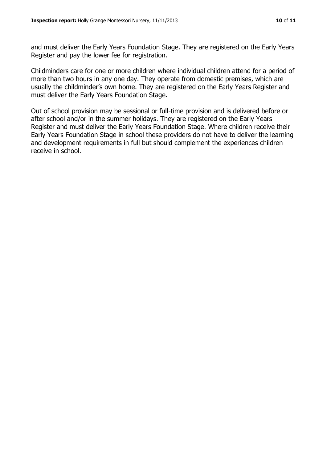and must deliver the Early Years Foundation Stage. They are registered on the Early Years Register and pay the lower fee for registration.

Childminders care for one or more children where individual children attend for a period of more than two hours in any one day. They operate from domestic premises, which are usually the childminder's own home. They are registered on the Early Years Register and must deliver the Early Years Foundation Stage.

Out of school provision may be sessional or full-time provision and is delivered before or after school and/or in the summer holidays. They are registered on the Early Years Register and must deliver the Early Years Foundation Stage. Where children receive their Early Years Foundation Stage in school these providers do not have to deliver the learning and development requirements in full but should complement the experiences children receive in school.